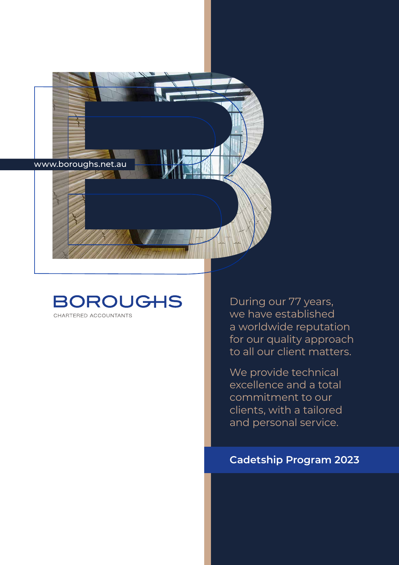

### **BOROUGHS** CHARTERED ACCOUNTANTS

During our 77 years, we have established a worldwide reputation for our quality approach to all our client matters.

We provide technical excellence and a total commitment to our clients, with a tailored and personal service.

## **Cadetship Program 2023**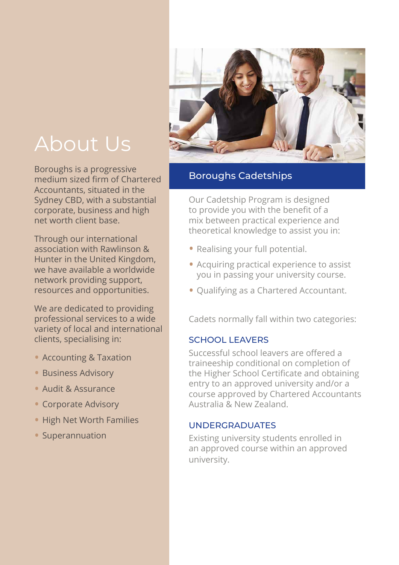# About Us

Boroughs is a progressive medium sized firm of Chartered Accountants, situated in the Sydney CBD, with a substantial corporate, business and high net worth client base.

Through our international association with Rawlinson & Hunter in the United Kingdom, we have available a worldwide network providing support, resources and opportunities.

We are dedicated to providing professional services to a wide variety of local and international clients, specialising in:

- Accounting & Taxation
- Business Advisory
- Audit & Assurance
- Corporate Advisory
- High Net Worth Families
- Superannuation



#### Boroughs Cadetships

Our Cadetship Program is designed to provide you with the benefit of a mix between practical experience and theoretical knowledge to assist you in:

- Realising your full potential.
- Acquiring practical experience to assist you in passing your university course.
- Qualifying as a Chartered Accountant.

Cadets normally fall within two categories:

#### SCHOOL LEAVERS

Successful school leavers are offered a traineeship conditional on completion of the Higher School Certificate and obtaining entry to an approved university and/or a course approved by Chartered Accountants Australia & New Zealand.

#### UNDERGRADUATES

Existing university students enrolled in an approved course within an approved university.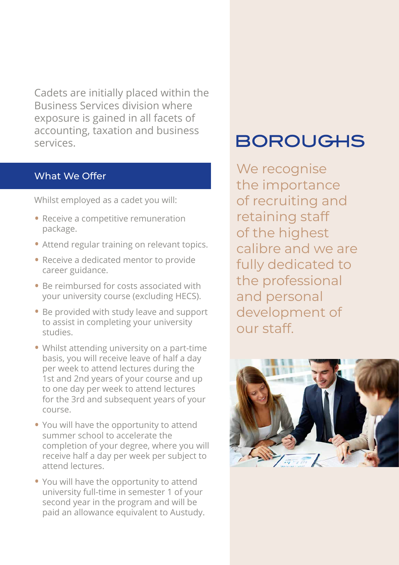Cadets are initially placed within the Business Services division where exposure is gained in all facets of accounting, taxation and business services.

#### What We Offer

Whilst employed as a cadet you will:

- Receive a competitive remuneration package.
- Attend regular training on relevant topics.
- Receive a dedicated mentor to provide career guidance.
- Be reimbursed for costs associated with your university course (excluding HECS).
- Be provided with study leave and support to assist in completing your university studies.
- Whilst attending university on a part-time basis, you will receive leave of half a day per week to attend lectures during the 1st and 2nd years of your course and up to one day per week to attend lectures for the 3rd and subsequent years of your course.
- You will have the opportunity to attend summer school to accelerate the completion of your degree, where you will receive half a day per week per subject to attend lectures.
- You will have the opportunity to attend university full-time in semester 1 of your second year in the program and will be paid an allowance equivalent to Austudy.

# **BOROUGHS**

We recognise the importance of recruiting and retaining staff of the highest calibre and we are fully dedicated to the professional and personal development of our staff.